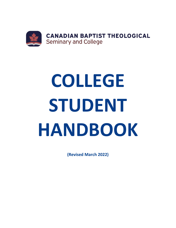

# **COLLEGE STUDENT HANDBOOK**

**(Revised March 2022)**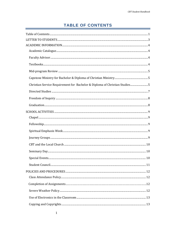# **TABLE OF CONTENTS**

<span id="page-1-0"></span>

| Christian Service Requirement for Bachelor & Diploma of Christian Studies5 |  |
|----------------------------------------------------------------------------|--|
|                                                                            |  |
|                                                                            |  |
|                                                                            |  |
|                                                                            |  |
|                                                                            |  |
|                                                                            |  |
|                                                                            |  |
|                                                                            |  |
|                                                                            |  |
|                                                                            |  |
|                                                                            |  |
|                                                                            |  |
|                                                                            |  |
|                                                                            |  |
|                                                                            |  |
|                                                                            |  |
|                                                                            |  |
|                                                                            |  |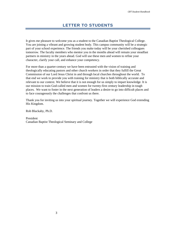<span id="page-3-0"></span>It gives me pleasure to welcome you as a student to the Canadian Baptist Theological College. You are joining a vibrant and growing student body. This campus community will be a strategic part of your school experience. The friends you make today will be your cherished colleagues tomorrow. The faculty members who mentor you in the months ahead will remain your steadfast partners in ministry in the years ahead. God will use these men and women to refine your character, clarify your call, and enhance your competency.

For more than a quarter-century we have been entrusted with the vision of training and theologically educating pastors and other church workers in order that they fulfill the Great Commission of our Lord Jesus Christ in and through local churches throughout the world. To that end we work to provide you with training for ministry that is both biblically accurate and relevant to our context. We believe that it is not enough for us simply to impart knowledge. It is our mission to train God-called men and women for twenty-first century leadership in tough places. We want to foster in the next generation of leaders a desire to go into difficult places and to face courageously the challenges that confront us there.

Thank you for inviting us into your spiritual journey. Together we will experience God extending His Kingdom.

Rob Blackaby, Ph.D.

President Canadian Baptist Theological Seminary and College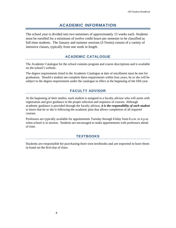# **ACADEMIC INFORMATION**

<span id="page-4-0"></span>The school year is divided into two semesters of approximately 15 weeks each. Students must be enrolled for a minimum of twelve credit hours per semester to be classified as full-time students. The January and summer sessions (J-Terms) consist of a variety of intensive classes, typically from one week in length.

## **ACADEMIC CATALOGUE**

<span id="page-4-1"></span>The Academic Catalogue for the school contains program and course descriptions and is available on the school's website.

The degree requirements listed in the Academic Catalogue at date of enrollment must be met for graduation. Should a student not complete these requirements within four years, he or she will be subject to the degree requirements under the catalogue in effect at the beginning of the fifth year

## **FACULTY ADVISOR**

<span id="page-4-2"></span>At the beginning of their studies, each student is assigned to a faculty advisor who will assist with registration and give guidance in the proper selection and sequence of courses. Although academic guidance is provided through the faculty advisor, *it is the responsibility of each student* to know that he or she is following the academic plan that allows completion of all required courses.

Professors are typically available for appointments Tuesday through Friday from 8 a.m. to 4 p.m. when school is in session. Students are encouraged to make appointments with professors ahead of time.

## **TEXTBOOKS**

<span id="page-4-3"></span>Students are responsible for purchasing their own textbooks and are expected to have them in hand on the first day of class.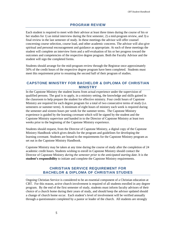## **PROGRAM REVIEW**

<span id="page-5-0"></span>Each student is required to meet with their advisor at least three times during the course of his or her studies for 1) an initial interview during the first semester, 2) a mid-program review, and 3) a final review in the last semester of study. In these meetings the advisor will offer counsel concerning course selection, course load, and other academic concerns. The advisor will also give spiritual and personal encouragement and guidance as appropriate. At each of these meetings the student will complete an interview form and a self-evaluation of his or her progress toward the outcomes and competencies of the respective degree program. Both the Faculty Advisor and the student will sign the completed forms.

Students should arrange for the mid-program review through the Registrar once approximately 50% of the credit hours of the respective degree program have been completed. Students must meet this requirement prior to resuming the second half of their program of studies.

## <span id="page-5-1"></span>**CAPSTONE MINISTRY FOR BACHELOR & DIPLOMA OF CHRISTIAN MINISTRY**

In the Capstone Ministry the student learns from actual experience under the supervision of qualified persons. The goal is to apply, in a ministry setting, the knowledge and skills gained in the classroom to help prepare the student for effective ministry. Four credit hours of Capstone Ministry are required for each degree program for a total of two consecutive terms of study (i.e. semesters or summer term). A minimum of eight hours of ministry each week is required during the semester and sixteen hours per week for the summer terms. The Capstone Ministry experience is guided by the learning covenant which will be signed by the student and the Capstone Ministry supervisor and handed in to the Director of Capstone Ministry at least two weeks prior to the beginning of the Capstone Ministry experience.

Students should request, from the Director of Capstone Ministry, a digital copy of the Capstone Ministry Handbook which gives details for the program and guidelines for developing the learning covenant. Students are bound to the requirements for the Capstone Ministry program as set out in the Capstone Ministry Handbook.

Capstone Ministry may be taken at any time during the course of study after the completion of 24 academic credit hours. Students wishing to enroll in Capstone Ministry should contact the Director of Capstone Ministry *during the semester prior to the anticipated starting date*. It is the **student's responsibility** to initiate and complete the Capstone Ministry requirements.

## **CHRISTIAN SERVICE REQUIREMENT FOR BACHELOR & DIPLOMA OF CHRISTIAN STUDIES**

<span id="page-5-2"></span>Ongoing Christian Service is considered to be an essential component of a Christian education at CBT. For this reason, active church involvement is required of all students enrolled in any degree program. By the end of the first semester of study, students must inform faculty advisors of their choice of a church home during their years of study, and should keep the advisor updated should a change of church home occur. Each student's level of involvement will be verified annually through a questionnaire completed by a pastor or leader of the church. All students are strongly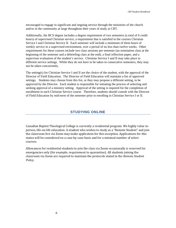encouraged to engage in significant and ongoing service through the ministries of the church and/or in the community at large throughout their years of study at CBT.

Additionally, the BCS degree includes a degree requirement of two semesters (a total of 6 credit hours) of supervised Christian service, a requirement that is satisfied in the courses Christian Service I and Christian Service II. Each semester will include a minimum of three hours of weekly service in a supervised environment, over a period of no less than twelve weeks. Other requirements for these courses include two class sessions per semester (an orientation class at the beginning of the semester and a debriefing class at the end), a final reflection paper, and a supervisor evaluation of the student's service. Christian Service I and II may take place in different service settings. While they do not have to be taken in consecutive semesters, they may not be taken concurrently.

The setting(s) for Christian Service I and II are the choice of the student, with the approval of the Director of Field Education. The Director of Field Education will maintain a list of approved settings. Students may choose from this list, or they may propose a different setting, to be approved by the Director. Each student is responsible for initiating the process of selecting and seeking approval of a ministry setting. Approval of the setting is required for the completion of enrollment in each Christian Service course. Therefore, students should consult with the Director of Field Education by mid-term of the semester prior to enrolling in Christian Service I or II.

## **STUDYING ONLINE**

Canadian Baptist Theological College is currently a residential program. We highly value inperson, life-on-life education. A student who wishes to study as a "Remote Student" and join the classroom live via Zoom may make application for this exception. Applications for this status will be considered on a case-by-case basis and for a minimal number of select courses.

Allowances for residential students to join the class via Zoom occasionally is reserved for emergencies only (for example, requirement to quarantine). All students joining the classroom via Zoom are required to maintain the protocols stated in the *Remote Student Policy*.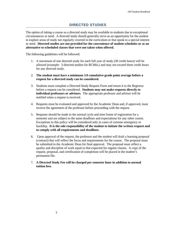## **DIRECTED STUDIES**

<span id="page-7-0"></span>The option of taking a course as a directed study may be available to students due to exceptional circumstances or need. A directed study should generally serve as an opportunity for the student to explore areas of study not regularly covered in the curriculum or that speak to a special interest or need. **Directed studies are not provided for the convenience of student schedules or as an alternative to scheduled classes that were not taken when offered.** 

The following guidelines will be followed:

- 1. A maximum of one directed study for each full year of study (30 credit hours) will be allowed (example: 3 directed studies for BCMin.) and may not exceed three credit hours for any directed study.
- 2. **The student must have a minimum 3.0 cumulative grade point average before a request for a directed study can be considered.**
- 3. Students must complete a Directed Study Request Form and return it to the Registrar before a request can be considered. **Students may not make requests directly to individual professors or advisors.** The appropriate professor and advisor will be notified when a request is received.
- 4. Requests must be evaluated and approved by the Academic Dean and, if approved, must receive the agreement of the professor before proceeding with the request.
- 5. Requests should be made in the normal cycle and time frame of registration for a semester and are subject to the same deadlines and expectations for any other course. Exceptions to this policy will be considered only in cases of extreme emergency or hardship. **It is the sole responsibility of the student to initiate the written request and to comply with all requirements and deadlines.**
- 6. Upon approval of the request, the professor and the student will draft a learning proposal (contract) that will reflect the focus and requirements for the course. The proposal must be submitted to the Academic Dean for final approval. The proposal must reflect a quality and discipline of work equal to that expected for regular classes. A copy of the request, proposal, and certification of completion will be placed in the student's permanent file.
- 7. **A Directed Study Fee will be charged per semester hour in addition to normal tuition fees.**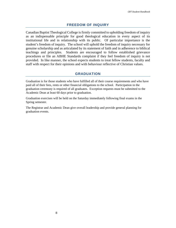## **FREEDOM OF INQUIRY**

<span id="page-8-0"></span>Canadian Baptist Theological College is firmly committed to upholding freedom of inquiry as an indispensable principle for good theological education in every aspect of its institutional life and in relationship with its public. Of particular importance is the student's freedom of inquiry. The school will uphold the freedom of inquiry necessary for genuine scholarship and as articulated by its statement of faith and in adherence to biblical teachings and principles. Students are encouraged to follow established grievance procedures or file an ABHE Standards complaint if they feel freedom of inquiry is not provided. In like manner, the school expects students to treat fellow students, faculty and staff with respect for their opinions and with behaviour reflective of Christian values.

## **GRADUATION**

<span id="page-8-1"></span>Graduation is for those students who have fulfilled all of their course requirements and who have paid all of their fees, rents or other financial obligations to the school. Participation in the graduation ceremony is required of all graduates. Exception requests must be submitted to the Academic Dean at least 60 days prior to graduation.

Graduation exercises will be held on the Saturday immediately following final exams in the Spring semester.

The Registrar and Academic Dean give overall leadership and provide general planning for graduation events.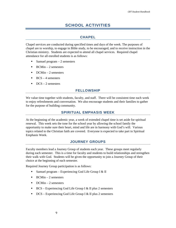# **SCHOOL ACTIVITIES**

## **CHAPEL**

<span id="page-9-1"></span><span id="page-9-0"></span>Chapel services are conducted during specified times and days of the week. The purposes of chapel are to worship, to engage in Bible study, to be encouraged, and to receive instruction in the Christian ministry. Students are expected to attend all chapel services. Required chapel attendance for all enrolled students is as follows:

- Samuel program  $-2$  semesters
- $\blacksquare$  BCMin 2 semesters
- $\blacksquare$  DCMin 2 semesters
- $\blacksquare$  BCS 4 semesters
- <span id="page-9-2"></span> $\blacksquare$  DCS – 2 semesters

## **FELLOWSHIP**

<span id="page-9-3"></span>We value time together with students, faculty, and staff. There will be consistent time each week to enjoy refreshments and conversation. We also encourage students and their families to gather for the purpose of building community.

## **SPIRITUAL EMPHASIS WEEK**

At the beginning of the academic year, a week of extended chapel time is set aside for spiritual renewal. This week sets the tone for the school year by allowing the school family the opportunity to make sure their heart, mind and life are in harmony with God's will. Various topics related to the Christian faith are covered. Everyone is expected to take part in Spiritual Emphasis Week.

## **JOURNEY GROUPS**

<span id="page-9-4"></span>Faculty members lead a Journey Group of students each year. These groups meet regularly during each semester. This is a time for faculty and students to build relationships and strengthen their walk with God. Students will be given the opportunity to join a Journey Group of their choice at the beginning of each semester.

Required Journey Group participation is as follows:

- Samuel program Experiencing God Life Group I  $&$  II
- $\blacksquare$  BCMin 2 semesters
- $\blacksquare$  DCMin 2 semesters
- $\blacksquare$  BCS Experiencing God Life Group I & II plus 2 semesters
- $\blacksquare$  DCS Experiencing God Life Group I & II plus 2 semesters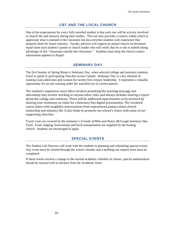## **CBT AND THE LOCAL CHURCH**

<span id="page-10-0"></span>One of the expectations for every fully enrolled student is that each one will be actively involved in church life and ministry during their studies. This not only provides a context within which to appreciate what is learned in the classroom but also enriches students with experience that prepares them for future ministry. Faculty advisors will request an annual church involvement report from each student's pastor or church leader who will verify that he or she is indeed taking advantage of this "classroom-outside-the-classroom." Students must keep the church contact information updated in Populi.

## **SEMINARY DAY**

<span id="page-10-1"></span>The first Sunday of Spring Break is Seminary Day, when selected college and seminary students travel to speak in participating churches across Canada. Seminary Day is a key element of training God-called men and women for twenty-first century leadership. It represents a valuable opportunity for on-site training under the watchful eye of current pastors.

The student's experience most often involves preaching the morning message, but alternately may involve working in various other roles and always includes sharing a report about the college and seminary. There will be additional opportunities to be involved by sharing your testimony on video for a Seminary Day digital presentation. The weekend comes laden with insightful conversations from experienced pastors about church leadership and ministry life. It also helps to promote our school's vision with some of our supporting churches.

Travel costs are covered by the seminary's *Friends of Mike and Nancy McGough Seminary Day Fund*. Food, lodging, honorariums and local transportation are supplied by the hosting church. Students are encouraged to apply.

## **SPECIAL EVENTS**

<span id="page-10-2"></span>The Student Life Director will work with the students in planning and scheduling special events. Any event must be cleared through the school calendar and a building use request form must be completed.

If these events involve a change in the normal academic schedule of classes, special authorization should be secured well in advance from the Academic Dean.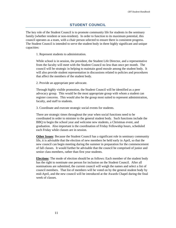## **STUDENT COUNCIL**

<span id="page-11-0"></span>The key role of the Student Council is to promote community life for students in the seminary family (whether resident or non-resident). In order to function to its maximum potential, this council operates as a team, with a chair person selected to ensure there is consistent progress. The Student Council is intended to serve the student body in three highly significant and unique capacities:

1. Represent students to administration.

While school is in session, the president, the Student Life Director, and a representative from the faculty will meet with the Student Council no less than once per month. The council will be strategic in helping to maintain good morale among the student body. It will also provide student representation in discussions related to policies and procedures that affect the members of the student body.

2. Provide an appropriate peer advocate.

Through highly visible promotion, the Student Council will be identified as a peer advocacy group. This would be the most appropriate group with whom a student can register concerns. This would also be the group most suited to represent administration, faculty, and staff to students.

3. Coordinate and execute strategic social events for students.

There are strategic times throughout the year when social functions need to be coordinated in order to minister to the general student body. Such functions include the BBQ to begin the school year and welcome new students, a Christmas event, and graduation. Also important is the coordination of Friday Fellowship hours, scheduled each Friday while classes are in session.

**Other Issues**: Because the Student Council has a significant role in seminary community life, it is advisable that the election of new members be held early in April, so that the new council can begin meeting during the summer in preparation for the commencement of fall classes. It would further be advisable that the council be comprised of junior and senior class members, rather than first year students.

**Elections**: The mode of election should be as follows: Each member of the student body has the right to nominate one person for inclusion on the Student Council. After all nominations are submitted, the current council will weigh the names and select a list of council members. That list of members will be voted on by the general student body by mid-April, and the new council will be introduced at the Awards Chapel during the final week of classes.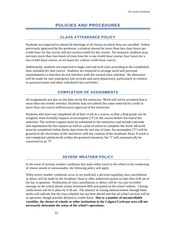# **POLICIES AND PROCEDURES**

## **CLASS ATTENDANCE POLICY**

<span id="page-12-1"></span><span id="page-12-0"></span>Students are expected to attend all meetings of all classes in which they are enrolled. Unless previously approved by the professor, a student absent for more than two class hours per credit hour for the course will not receive credit for the course. For instance, students may not miss more than two hours of class time for a one-credit-hour course; four hours for a two-credit-hour course, or six hours for a three-credit-hour course.

Additionally, students are expected to begin and end each class according to the established time schedule for that course. Students are required to arrange work and personal commitments so that they do not interfere with the normal class schedule. No allowance will be made for non-emergency late arrivals and early departures, particularly in relation to quizzes/exams and other scheduled class activities.

## **COMPLETION OF ASSIGNMENTS**

All assignments are due on the date set by the instructor. Work will not be accepted that is more than two weeks overdue. Students may not submit the same material for credit in more than one course without prior approval of the instructor.

Students who have not completed all of their work in a course, so that a final grade can be assigned, must formally request an incomplete ("I") in the course before the end of the semester. The written request must be submitted to the instructor and include rationale and explanation for the request as well as a plan of action to complete the work. All work must be completed within thirty days from the last day of class. An incomplete ("I") will be granted at the discretion of the instructor with the consent of the Academic Dean. If work is not completed satisfactorily within the granted extension, the "I" will automatically be converted to an "F".

## **SEVERE WEATHER POLICY**

<span id="page-12-2"></span>In the event of extreme weather conditions that make either travel to the school or the conducting of classes unsafe or unreasonable, the following policy will apply:

When severe weather conditions occur or are predicted, a decision regarding class cancellations or delays will be made by the Academic Dean or other authorized person no later than 6:00 am of the day in question. Notification of class cancellations or delays will be via a pre-recorded message on the school phone system (extension 800) and posted on the school website. Closing notifications will be in place by 6:30 am. The absence of closing announcements through these media will indicate that the class schedule has not been altered and that all school services will be in operation, though possibly delayed or scaled down. **Due to a number of uncontrollable variables, the closure of schools or other institutions in the Calgary/Cochrane area will not necessarily determine the status of the school's operations.**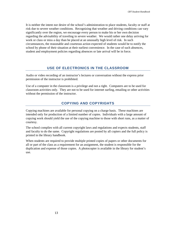It is neither the intent nor desire of the school's administration to place students, faculty or staff at risk due to severe weather conditions. Recognizing that weather and driving conditions can vary significantly over the region, we encourage every person to make his or her own decision regarding the advisability of traveling in severe weather. We would rather one delay arriving for work or class or miss a day than be placed at an unusually high level of risk. In such circumstances, the reasonable and courteous action expected of students would be to notify the school by phone of their situation at their earliest convenience. In the case of such absences, student and employment policies regarding absences or late arrival will be in force.

## **USE OF ELECTRONICS IN THE CLASSROOM**

<span id="page-13-0"></span>Audio or video recording of an instructor's lectures or conversation without the express prior permission of the instructor is prohibited.

Use of a computer in the classroom is a privilege and not a right. Computers are to be used for classroom activities only. They are not to be used for internet surfing, emailing or other activities without the permission of the instructor.

## **COPYING AND COPYRIGHTS**

<span id="page-13-1"></span>Copying machines are available for personal copying on a charge basis. These machines are intended only for production of a limited number of copies. Individuals with a large amount of copying work should yield the use of the copying machine to those with short runs, as a matter of courtesy.

The school complies with all current copyright laws and regulations and expects students, staff and faculty to do the same. Copyright regulations are posted by all copiers and the full policy is printed in the library handbook.

When students are required to provide multiple printed copies of papers or other documents for all or part of the class as a requirement for an assignment, the student is responsible for the duplication and expense of those copies. A photocopier is available in the library for student's use.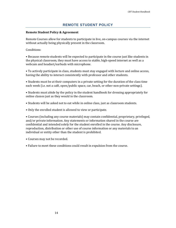## **REMOTE STUDENT POLICY**

#### **Remote Student Policy & Agreement**

Remote Courses allow for students to participate in live, on-campus courses via the internet without actually being physically present in the classroom.

Conditions:

• Because remote students will be expected to participate in the course just like students in the physical classroom, they must have access to stable, high-speed internet as well as a webcam and headset/earbuds with microphone.

• To actively participate in class, students must stay engaged with lecture and online access, having the ability to interact consistently with professor and other students.

• Students must be at their computers in a private setting for the duration of the class time each week (i.e. not a café, open/public space, car, beach, or other non-private settings).

• Students must abide by the policy in the student handbook for dressing appropriately for online classes just as they would in the classroom.

• Students will be asked not to eat while in online class, just as classroom students.

• Only the enrolled student is allowed to view or participate.

• Courses (including any course materials) may contain confidential, proprietary, privileged, and/or private information. Any statements or information shared in the course are confidential and intended solely for the student enrolled in the course. Any disclosure, reproduction, distribution or other use of course information or any materials to an individual or entity other than the student is prohibited.

- Courses may not be recorded.
- Failure to meet these conditions could result in expulsion from the course.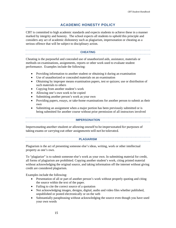## **ACADEMIC HONESTY POLICY**

<span id="page-15-0"></span>CBT is committed to high academic standards and expects students to achieve these in a manner marked by integrity and honesty. The school expects all students to uphold this principle and considers any act of academic dishonesty such as plagiarism, impersonation or cheating as a serious offence that will be subject to disciplinary action.

#### **CHEATING**

<span id="page-15-1"></span>Cheating is the purposeful and concealed use of unauthorized aids, assistance, materials or methods on examinations, assignments, reports or other work used to evaluate student performance. Examples include the following:

- Providing information to another student or obtaining it during an examination
- Use of unauthorized or concealed materials on an examination
- Obtaining by improper means examination papers, test or quizzes; use or distribution of such materials to others
- Copying from another student's work
- Allowing one's own work to be copied
- Submitting another person's work as your own
- Providing papers, essays, or take-home examinations for another person to submit as their own
- <span id="page-15-2"></span>• Submitting an assignment when a major portion has been previously submitted or is being submitted for another course without prior permission of all instructors involved

#### **IMPERSONATION**

Impersonating another student or allowing oneself to be impersonated for purposes of taking exams or carrying out other assignments will not be tolerated.

#### **PLAGIARISM**

<span id="page-15-3"></span>Plagiarism is the act of presenting someone else's ideas, writing, work or other intellectual property as one's own.

To "plagiarize" is to submit someone else's work as your own. In submitting material for credit, all forms of plagiarism are prohibited. Copying another student's work, citing printed material without acknowledging the original source, and taking information off the internet without giving credit are considered plagiarism.

Examples include the following:

- Presentation of all or part of another person's work without properly quoting and citing the source within the text of the paper.
- Failing to cite the correct source of a quotation
- Not acknowledging images, designs, digital, audio and video files whether published, unpublished or posted electronically or on the web
- Substantially paraphrasing without acknowledging the source even though you have used your own words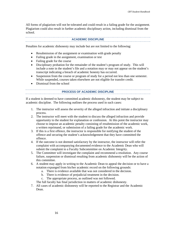All forms of plagiarism will not be tolerated and could result in a failing grade for the assignment. Plagiarism could also result in further academic disciplinary action, including dismissal from the school.

#### **ACADEMIC DISCIPLINE**

<span id="page-16-0"></span>Penalties for academic dishonesty may include but are not limited to the following:

- Resubmission of the assignment or examination with grade penalty
- Failing grade in the assignment, examination or test
- Failing grade for the course
- Disciplinary probation for the remainder of the student's program of study. This will include a note in the student's file and a notation may or may not appear on the student's transcript indicating a breach of academic honesty has occurred.
- Suspension from the course or program of study for a period not less than one semester. While suspended, courses taken elsewhere are not eligible for transfer credit.
- <span id="page-16-1"></span>• Dismissal from the school

#### **PROCESS OF ACADEMIC DISCIPLINE**

If a student is deemed to have committed academic dishonesty, the student may be subject to academic discipline. The following outlines the process used in such cases:

- 1. The instructor will assess the severity of the alleged infraction and initiate a disciplinary process.
- 2. The instructor will meet with the student to discuss the alleged infraction and provide opportunity to the student for explanation or confession. At this point the instructor may choose to impose an academic penalty consisting of resubmission of the academic work, a written reprimand, or submission of a failing grade for the academic work.
- 3. If this is a first offence, the instructor is responsible for notifying the student of the offence and securing the student's acknowledgement that they have committed the offence.
- 4. If the outcome is not deemed satisfactory by the instructor, the instructor will refer the complaint with accompanying documented evidence to the Academic Dean who will submit the complaint to a Faculty Subcommittee on Academic Integrity.
- 5. The Committee will investigate the complaint and recommend a resolution. Any course failure, suspension or dismissal resulting from academic dishonesty will be the action of this committee.
- 6. A student may apply in writing to the Academic Dean to appeal the decision or to have a notation expunged from his/her academic record on the following grounds:
	- a. There is evidence available that was not considered in the decision.
	- b. There is evidence of prejudicial treatment in the decision.
	- c. The appropriate process, as outlined was not followed.

The full faculty has final jurisdiction in matters of academic dishonesty.

7. All cases of academic dishonesty will be reported to the Registrar and the Academic Dean.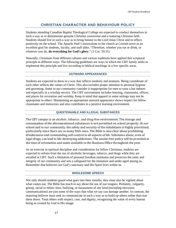## **CHRISTIAN CHARACTER AND BEHAVIOUR POLICY**

<span id="page-17-0"></span>Students attending Canadian Baptist Theological College are expected to conduct themselves in such a way as to demonstrate genuine Christian conversion and a maturing Christian faith. Students should live in such a way as to bring honour to the Lord Jesus Christ and to reflect positively on the school. The Apostle Paul's instructions to the church at Corinth serve as an excellent goal for students, faculty, and staff alike. "Therefore, whether you eat or drink, or whatever you do, **do everything for God's glory**." (1 Cor. 10:31)

Naturally, Christians from different cultures and various traditions have applied this scriptural principle in different ways. The following guidelines are ways in which the CBT family seeks to implement this principle and live according to biblical teachings in a few specific areas.

#### **OUTWARD APPEARANCES**

<span id="page-17-1"></span>Students are expected to dress in a way that reflects modesty and neatness. Being considerate of each other reflects the values of Christ. This also includes proper attention to personal hygiene and grooming. Some in our community consider it inappropriate for men to wear a hat indoors and especially in a worship service. The CBT environment includes housing, classrooms, offices, and places for recreation and worship. Keep in mind that apparel in some settings may not be appropriate in others. Maintaining an appropriate outward appearance shows respect for fellow classmates and instructors and also contributes to a positive learning environment.

#### **QUESTIONABLE AND ILLEGAL SUBSTANCES**

<span id="page-17-2"></span>The CBT campus is an alcohol-, tobacco-, and drug-free environment. The storage and consumption of the aforementioned substances is not permitted on school property. At our school and in our community, the safety and security of the inhabitants is highly prioritized, particularly since there are so many little ones. The Bible is also clear about prohibiting drunkenness and commanding self-control in all aspects of life. Substance abuse, even of legal drugs, can lead to life-destroying addictions. The smoke-free policy will be provided at the time of orientation and made available in the Business Office throughout the year.

As an exercise in spiritual discipline and consideration for fellow Christians, students are expected to refrain from the use of alcoholic beverages, tobacco, and drugs while they are enrolled at CBT. Such a limitation of personal freedom maintains and preserves the unity and integrity of our community and sets a safeguard for the immature and under-aged among us. Remember that believers are God's sanctuary and His Spirit lives within us.

#### **WHOLESOME SPEECH**

<span id="page-17-3"></span>Not only should students guard what goes into their mouths; they must also be vigilant about what comes out. The Bible has much to say about the use of our tongues. Profanity, vulgarity, gossip, racial or ethnic slurs, bullying, or harassment of any kind (including electronic communications) are just some of the ways that what we say can damage another. In contrast, the maturing believer must seek to communicate in such a way as to build up others rather than tear them down. Treat others with respect, care, and dignity, recognizing the value of every human being as created by God in His image.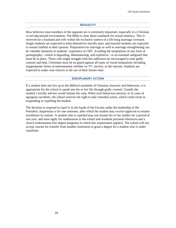#### **SEXUALITY**

<span id="page-18-0"></span>How believers treat members of the opposite sex is extremely important, especially in a Christian co-ed educational environment. The Bible is clear about standards for sexual intimacy. This is reserved for a husband and wife within the exclusive context of a life-long marriage covenant. Single students are expected to keep themselves morally pure, and married students are expected to remain faithful to their spouses. Preparation for marriage as well as marriage strengthening can be valuable elements of students' experience at CBT. Avoiding the temptations of any form of pornography—which is degrading, dehumanizing, and exploitive—is an essential safeguard that must be in place. Those who might struggle with this addiction are encouraged to seek godly counsel and help. Christians must be on guard against all types of visual temptations including inappropriate forms of entertainment whether on TV, movies, or the internet. Students are expected to make wise choices in the use of their leisure time.

#### **DISCIPLINARY ACTION**

<span id="page-18-1"></span>If a student does not live up to the Biblical standards of Christian character and behaviour, it is appropriate for the school to speak into his or her life through godly counsel. Usually the student's faculty advisor would initiate this step. When such behaviour persists, or in cases of egregious incidents, the school reserves the right to take remedial action, which could result in suspending or expelling the student.

The decision to *suspend* or *expel* is in the hands of the Faculty under the leadership of the President. *Suspension* is for one semester, after which the student may receive approval to resume enrollment in courses. A student who is *expelled* may not resume his or her studies for a period of one year, and must apply for readmission to the school and resubmit personal references and a church endorsement (for degree programs in which this requirement applies). The school will not accept courses for transfer from another institution or grant a degree for a student who is under expulsion.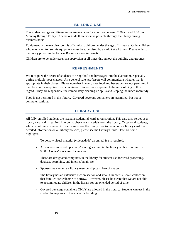## **BUILDING USE**

<span id="page-19-0"></span>The student lounge and fitness room are available for your use between 7:30 am and 5:00 pm Monday through Friday. Access outside these hours is possible through the library during business hours.

Equipment in the exercise room is off-limits to children under the age of 14 years. Older children who may want to use this equipment must be supervised by an adult at all times. Please refer to the policy posted in the Fitness Room for more information.

<span id="page-19-1"></span>Children are to be under parental supervision at all times throughout the building and grounds.

## **REFRESHMENTS**

We recognize the desire of students to bring food and beverages into the classroom, especially during multiple-hour classes. As a general rule, professors will communicate whether that is appropriate in their classes. Please note that in every case food and beverages are not permitted in the classroom except in closed containers. Students are expected to be self-policing in this regard. They are responsible for immediately cleaning up spills and keeping the lunch room tidy.

<span id="page-19-2"></span>Food is not permitted in the library. **Covered** beverage containers are permitted, but not at computer stations.

## **LIBRARY USE**

All fully-enrolled students are issued a student i.d. card at registration. This card also serves as a library card and is required in order to check out materials from the library. Occasional students, who are not issued student i.d. cards, must see the library director to acquire a library card. For detailed information on all library policies, please see the Library Guide. Here are some highlights:

- To borrow visual material (videos/dvds) an annual fee is required.
- All students must set up a copy/printing account in the library with a minimum of \$5.00. Copies/prints are 10 cents each.
- There are designated computers in the library for student use for word processing, database searching, and internet/email use.
- Spouses may acquire a library membership card free of charge.
- The library has an extensive Fiction section and small Children's Books collection that families are welcome to borrow. However, please be aware that we are not able to accommodate children in the library for an extended period of time.
- Covered beverage containers ONLY are allowed in the library. Students can eat in the student lounge area in the academic building.

-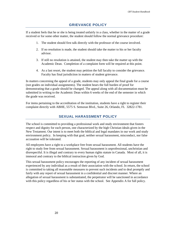## **GRIEVANCE POLICY**

<span id="page-20-0"></span>If a student feels that he or she is being treated unfairly in a class, whether in the matter of a grade received or for some other matter, the student should follow the normal grievance procedure:

- 1. The student should first talk directly with the professor of the course involved.
- 2. If no resolution is made, the student should take the matter to his or her faculty advisor.
- 3. If still no resolution is attained, the student may then take the matter up with the Academic Dean. Completion of a complaint form will be required at this point.
- 4. As a last resort, the student may petition the full faculty to consider the grievance. Faculty has final jurisdiction in matters of student grievance.

In matters concerning the appeal of a grade, students may only appeal the final grade for a course (not grades on individual assignments). The student bears the full burden of proof for demonstrating that a grade should be changed. The appeal along with all documentation must be submitted in writing to the Academic Dean within 6 weeks of the end of the semester in which the grade was received.

<span id="page-20-1"></span>For items pertaining to the accreditation of the institution, students have a right to register their complaint directly with ABHE, 5575 S. Semoran Blvd., Suite 26, Orlando, FL 32822-1781.

## **SEXUAL HARASSMENT POLICY**

The school is committed to providing a professional work and study environment that fosters respect and dignity for each person, one characterized by the high Christian ideals given in the New Testament. Our intent is to meet both the biblical and legal mandates in our work and study environment policy. In keeping with that goal, neither sexual harassment, misconduct, nor false accusation will be tolerated.

All employees have a right to a workplace free from sexual harassment. All students have the right to study free from sexual harassment. Sexual harassment is unprofessional, unchristian and disrespectful. It is illegal and contrary to every human rights statute in Canada. Most of all, it is immoral and contrary to the biblical instruction given by God.

This sexual harassment policy encourages the reporting of any incident of sexual harassment experienced by any individual as a result of their association with the school. In return, the school is committed to taking all reasonable measures to prevent such incidents and to deal promptly and fairly with any report of sexual harassment in a confidential and discreet manner. Where an allegation of sexual harassment is substantiated, the perpetrator will be sanctioned in accordance with this policy regardless of his or her status with the school. See Appendix A for full policy.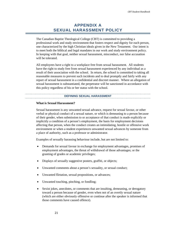# **APPENDIX A SEXUAL HARASSMENT POLICY**

<span id="page-21-0"></span>The Canadian Baptist Theological College (CBT) is committed to providing a professional work and study environment that fosters respect and dignity for each person, one characterized by the high Christian ideals given in the New Testament. Our intent is to meet both the biblical and legal mandates in our work and study environment policy. In keeping with that goal, neither sexual harassment, misconduct, nor false accusation will be tolerated.

All employees have a right to a workplace free from sexual harassment. All students have the right to study free from sexual harassment experienced by any individual as a result of their association with the school. In return, the school is committed to taking all reasonable measures to prevent such incidents and to deal promptly and fairly with any report of sexual harassment in a confidential and discreet manner. Where an allegation of sexual harassment is substantiated, the perpetrator will be sanctioned in accordance with this policy regardless of his or her status with the school.

#### **DEFINING SEXUAL HARASSMENT**

#### <span id="page-21-1"></span>**What is Sexual Harassment?**

Sexual harassment is any unwanted sexual advance, request for sexual favour, or other verbal or physical conduct of a sexual nature, or which is demeaning to a person because of their gender, when submission to or acceptance of that conduct is made explicitly or implicitly a condition of a person's employment, the basis for employment decisions affecting that person, when the conduct creates an intimidating, hostile or offensive work environment or when a student experiences unwanted sexual advances by someone from a place of authority, such as a professor or administrator.

Examples of sexually harassing behaviour include, but are not limited to:

- Demands for sexual favour in exchange for employment advantages, promises of employment advantages, the threat of withdrawal of those advantages; or the granting of grades or academic privileges;
- Displays of sexually suggestive posters, graffiti, or objects;
- Unwanted comments about a person's sexuality, or sexual conduct;
- Unwanted flirtation, sexual propositions, or advances;
- Unwanted touching, pinching, or fondling;
- Sexist jokes, anecdotes, or comments that are insulting, demeaning, or derogatory toward a person because of gender, even when not of an overtly sexual nature (which are either obviously offensive or continue after the speaker is informed that those comments have caused offence).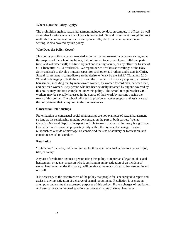#### **Where Does the Policy Apply?**

The prohibition against sexual harassment includes conduct on campus, in offices, as well as at other locations where school work is conducted. Sexual harassment through indirect methods of communication, such as telephone calls, electronic communication, or in writing, is also covered by this policy.

#### **Who Does the Policy Cover?**

This policy prohibits any work-related act of sexual harassment by anyone serving under the auspices of the school, including, but not limited to, any employee, full-time, parttime, and volunteer staff; full-time adjunct and visiting faculty, or any officer or trustee of CBT [hereafter, "CBT workers"]. We regard our co-workers as dwellings of the Holy Spirit and seek to develop mutual respect for each other as brothers and sisters in Christ. Sexual harassment is contradictory to the desire to "walk by the Spirit" (Galatians 5:16- 21) and is damaging to both the victim and the offender. This policy applies to all sexual harassment, including that by men toward women, by women toward men, between men, and between women. Any person who has been sexually harassed by anyone covered by this policy may initiate a complaint under this policy. The school recognizes that CBT workers may be sexually harassed in the course of their work by persons outside the reach of this policy. The school will seek to provide whatever support and assistance to the complainant that is required in the circumstances.

#### **Consensual Relationships**

Fraternization or consensual social relationships are not examples of sexual harassment so long as the relationship remains consensual on the part of both parties. We, as Canadian National Baptists, interpret the Bible to teach that sexual intimacy is a gift from God which is expressed appropriately only within the bounds of marriage. Sexual relationships outside of marriage are considered the sins of adultery or fornication, and constitute sexual misconduct.

#### **Retaliation**

"Retaliation" includes, but is not limited to, threatened or actual action to a person's job, title, or salary.

Any act of retaliation against a person using this policy to report an allegation of sexual harassment, or against a person who is assisting in an investigation of an incident of sexual harassment under this policy, will be viewed as an act of sexual harassment in and of itself.

It is necessary to the effectiveness of the policy that people feel encouraged to report and assist in any investigation of a charge of sexual harassment. Retaliation is seen as an attempt to undermine the expressed purposes of this policy. Proven charges of retaliation will attract the same range of sanctions as proven charges of sexual harassment.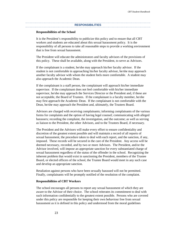#### **RESPONSIBILITIES**

#### <span id="page-23-0"></span>**Responsibilities of the School**

It is the President's responsibility to publicize this policy and to ensure that all CBT workers and students are educated about this sexual harassment policy. It is the responsibility of all persons to take all reasonable steps to provide a working environment that is free from sexual harassment.

The President will educate the administrators and faculty advisors of the provisions of this policy. These shall be available, along with the President, to serve as Advisors.

If the complainant is a student, he/she may approach his/her faculty advisor. If the student is not comfortable in approaching his/her faculty advisor, he/she may approach another faculty advisor with whom the student feels more comfortable. A student may also approach the Academic Dean.

If the complainant is a staff person, the complainant will approach his/her immediate supervisor. If the complainant does not feel comfortable with his/her immediate supervisor, he/she may approach the Services Director or the President and, if these are not acceptable, the Board of Trustees. If the complainant is a faculty member, he/she may first approach the Academic Dean. If the complainant is not comfortable with the Dean, he/she may approach the President and, ultimately, the Trustees Board.

Advisors are charged with receiving complainants; informing complainants of the various forms for complaints and the option of having legal counsel; communicating with alleged harassers; recording the complaint, the investigation, and the outcome; as well as serving as liaison to the President, the other Advisors, and to the Trustees Board, if necessary.

The President and the Advisors will make every effort to ensure confidentiality and discretion of the greatest extent possible and will maintain a record of all reports of sexual harassment, the procedure taken to deal with each report, and the sanction, if any, imposed. These records will be secured in the care of the President. Any access will be deemed necessary, recorded, and by two or more Advisors. The President, and/or the Advisor involved, will impose an appropriate sanction for every substantiated charge of sexual harassment regardless of the status of the offender in the school. Recognizing the inherent problem that would exist in sanctioning the President, members of the Trustee Board, or elected officers of the school, the Trustee Board would meet in any such case and develop an appropriate sanction.

Retaliation against persons who have been sexually harassed will not be permitted. Finally, complainants will be promptly notified of the resolution of the complaint.

#### **Responsibilities of CBT Workers**

The school encourages all persons to report any sexual harassment of which they are aware to the Advisor of their choice. The school reiterates its commitment to deal with such information confidentially to the greatest extent possible. Persons who are covered under this policy are responsible for keeping their own behaviour free from sexual harassment as it is defined in this policy and understood from the moral guidelines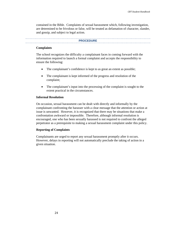contained in the Bible. Complaints of sexual harassment which, following investigation, are determined to be frivolous or false, will be treated as defamation of character, slander, and gossip, and subject to legal action.

#### **PROCEDURE**

#### <span id="page-24-0"></span>**Complaints**

The school recognizes the difficulty a complainant faces in coming forward with the information required to launch a formal complaint and accepts the responsibility to ensure the following:

- The complainant's confidence is kept to as great an extent as possible;
- The complainant is kept informed of the progress and resolution of the complaint;
- The complainant's input into the processing of the complaint is sought to the extent practical in the circumstances.

#### **Informal Resolution**

On occasion, sexual harassment can be dealt with directly and informally by the complainant confronting the harasser with a clear message that the attention or action at issue is unwanted. However, it is recognized that there may be situations that make a confrontation awkward or impossible. Therefore, although informal resolution is encouraged, one who has been sexually harassed is not required to confront the alleged perpetrator as a prerequisite to making a sexual harassment complaint under this policy.

#### **Reporting of Complaints**

Complainants are urged to report any sexual harassment promptly after it occurs. However, delays in reporting will not automatically preclude the taking of action in a given situation.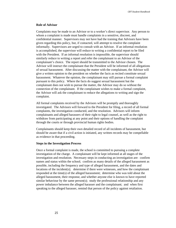#### **Role of Advisor**

Complaints may be made to an Advisor or to a worker's direct supervisor. Any person to whom a complaint is made must handle complaints in a sensitive, discreet, and confidential manner. Supervisors may not have had the training that Advisors have been given regarding this policy, but, if contacted, will attempt to resolve the complaint informally. Supervisors are urged to consult with an Advisor. If an informal resolution is accomplished, the supervisor will reduce to writing a confidential report to be filed with the President. If an informal resolution is impossible, the supervisor should similarly reduce to writing a report and refer the complainant to an Advisor of the complainant's choice. The report should be transmitted to the Advisor chosen. The Advisor will instruct the complainant that the President will be informed of all allegations of sexual harassment. After discussing the matter with the complainant, the Advisor will give a written opinion to the president on whether the facts as recited constitute sexual harassment. Whatever the opinion, the complainant may still pursue a formal complaint pursuant to this policy. Where the facts do suggest sexual harassment but the complainant does not wish to pursue the matter, the Advisor may do so without the connection of the complainant. If the complainant wishes to make a formal complaint, the Advisor will ask the complainant to reduce the allegations to writing and sign the complaint.

All formal complaints received by the Advisors will be promptly and thoroughly investigated. The Advisors will forward to the President for filing, a record of all formal complaints, the investigation conducted, and the resolution. Advisors will inform complainants and alleged harassers of their right to legal counsel, as well as the right to withdraw from participating at any point and their options of handling the complaint through the courts or through provincial human rights bodies.

Complainants should keep their own detailed record of all incidents of harassment, but should be aware that if a civil action is initiated, any written records may be compellable as evidence in that proceeding.

#### **Steps in the Investigation Process**

Once a formal complaint is made, the school is committed to pursuing a complete investigation of the charge. A complainant will be kept informed at all stages of the investigation and resolution. Necessary steps in conducting an investigation are: confirm names and status within the school; confirm as many details of the alleged harassment as possible, including the frequency and type of alleged harassment, and the dates and locations of the incident(s); determine if there were witnesses, and how the complainant responded at the time(s) of the alleged harassment; determine who was told about the alleged harassment, their response, and whether anyone else is known to have reported similar behaviour by the same person(s); study the professional relationship and any power imbalance between the alleged harasser and the complainant; and when first speaking to the alleged harasser, remind that person of the policy against retaliation.